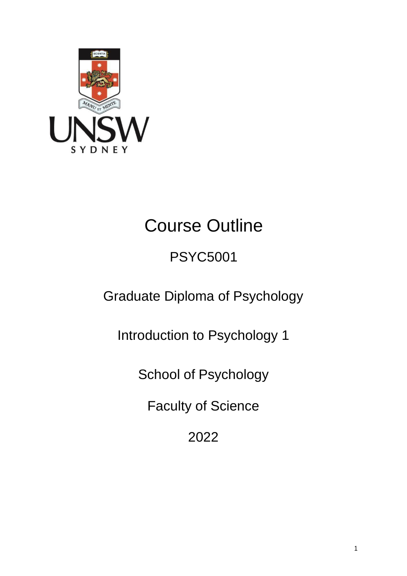

# Course Outline

## PSYC5001

Graduate Diploma of Psychology

Introduction to Psychology 1

School of Psychology

Faculty of Science

2022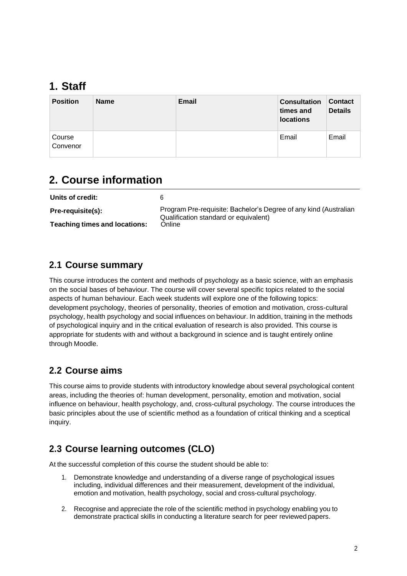## **1. Staff**

| <b>Position</b>    | <b>Name</b> | <b>Email</b> | <b>Consultation</b><br>times and<br><b>locations</b> | <b>Contact</b><br><b>Details</b> |
|--------------------|-------------|--------------|------------------------------------------------------|----------------------------------|
| Course<br>Convenor |             |              | Email                                                | Email                            |

## **2. Course information**

| Units of credit:              |                                                                                                           |
|-------------------------------|-----------------------------------------------------------------------------------------------------------|
| <b>Pre-requisite(s):</b>      | Program Pre-requisite: Bachelor's Degree of any kind (Australian<br>Qualification standard or equivalent) |
| Teaching times and locations: | Online                                                                                                    |

#### **2.1 Course summary**

This course introduces the content and methods of psychology as a basic science, with an emphasis on the social bases of behaviour. The course will cover several specific topics related to the social aspects of human behaviour. Each week students will explore one of the following topics: development psychology, theories of personality, theories of emotion and motivation, cross-cultural psychology, health psychology and social influences onbehaviour. In addition, training in the methods of psychological inquiry and in the critical evaluation of research is also provided. This course is appropriate for students with and without a background in science and is taught entirely online through Moodle.

#### **2.2 Course aims**

This course aims to provide students with introductory knowledge about several psychological content areas, including the theories of: human development, personality, emotion and motivation, social influence on behaviour, health psychology, and, cross-cultural psychology. The course introduces the basic principles about the use of scientific method as a foundation of critical thinking and a sceptical inquiry.

#### **2.3 Course learning outcomes (CLO)**

At the successful completion of this course the student should be able to:

- 1. Demonstrate knowledge and understanding of a diverse range of psychological issues including, individual differences and their measurement, development of the individual, emotion and motivation, health psychology, social and cross-cultural psychology.
- 2. Recognise and appreciate the role of the scientific method in psychology enabling you to demonstrate practical skills in conducting a literature search for peer reviewedpapers.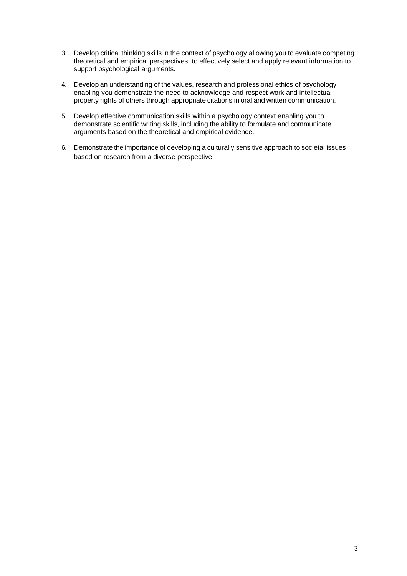- 3. Develop critical thinking skills in the context of psychology allowing you to evaluate competing theoretical and empirical perspectives, to effectively select and apply relevant information to support psychological arguments.
- 4. Developan understanding of the values, research and professional ethics of psychology enabling you demonstrate the need to acknowledge and respect work and intellectual property rights of others through appropriate citations in oral and written communication.
- 5. Develop effective communication skills within a psychology context enabling you to demonstrate scientific writing skills, including the ability to formulate and communicate arguments based on the theoretical and empirical evidence.
- 6. Demonstrate the importance of developing a culturally sensitive approach to societal issues based on research from a diverse perspective.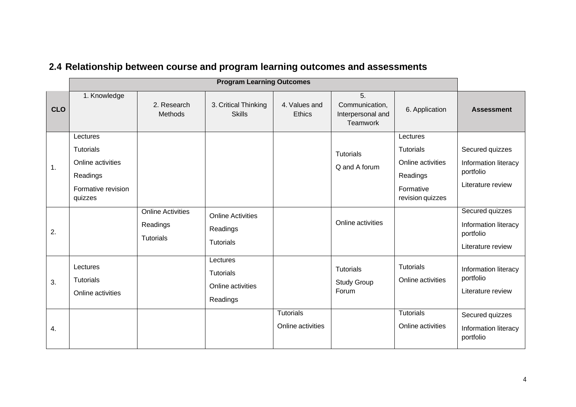|            |                                                                                                |                                                          | <b>Program Learning Outcomes</b>                              |                                       |                                                       |                                                                                                |                                                                           |
|------------|------------------------------------------------------------------------------------------------|----------------------------------------------------------|---------------------------------------------------------------|---------------------------------------|-------------------------------------------------------|------------------------------------------------------------------------------------------------|---------------------------------------------------------------------------|
| <b>CLO</b> | 1. Knowledge                                                                                   | 2. Research<br><b>Methods</b>                            | 3. Critical Thinking<br><b>Skills</b>                         | 4. Values and<br><b>Ethics</b>        | 5.<br>Communication,<br>Interpersonal and<br>Teamwork | 6. Application                                                                                 | <b>Assessment</b>                                                         |
| 1.         | Lectures<br><b>Tutorials</b><br>Online activities<br>Readings<br>Formative revision<br>quizzes |                                                          |                                                               |                                       | <b>Tutorials</b><br>Q and A forum                     | Lectures<br><b>Tutorials</b><br>Online activities<br>Readings<br>Formative<br>revision quizzes | Secured quizzes<br>Information literacy<br>portfolio<br>Literature review |
| 2.         |                                                                                                | <b>Online Activities</b><br>Readings<br><b>Tutorials</b> | <b>Online Activities</b><br>Readings<br><b>Tutorials</b>      |                                       | Online activities                                     |                                                                                                | Secured quizzes<br>Information literacy<br>portfolio<br>Literature review |
| 3.         | Lectures<br><b>Tutorials</b><br>Online activities                                              |                                                          | Lectures<br><b>Tutorials</b><br>Online activities<br>Readings |                                       | <b>Tutorials</b><br><b>Study Group</b><br>Forum       | <b>Tutorials</b><br>Online activities                                                          | Information literacy<br>portfolio<br>Literature review                    |
| 4.         |                                                                                                |                                                          |                                                               | <b>Tutorials</b><br>Online activities |                                                       | <b>Tutorials</b><br>Online activities                                                          | Secured quizzes<br>Information literacy<br>portfolio                      |

## **2.4 Relationship between course and program learning outcomes and assessments**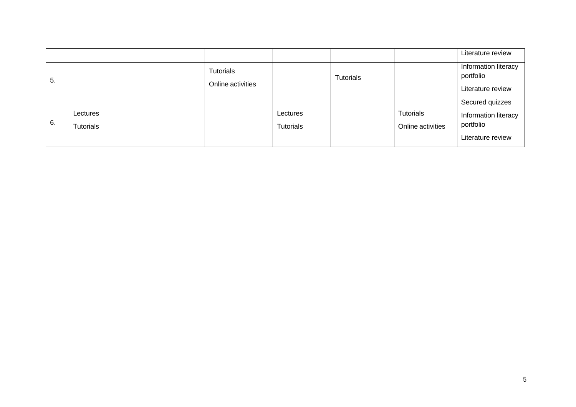|    |                              |                                |                              |           |                                | Literature review                                                         |
|----|------------------------------|--------------------------------|------------------------------|-----------|--------------------------------|---------------------------------------------------------------------------|
| 5. |                              | Tutorials<br>Online activities |                              | Tutorials |                                | Information literacy<br>portfolio<br>Literature review                    |
| 6. | Lectures<br><b>Tutorials</b> |                                | Lectures<br><b>Tutorials</b> |           | Tutorials<br>Online activities | Secured quizzes<br>Information literacy<br>portfolio<br>Literature review |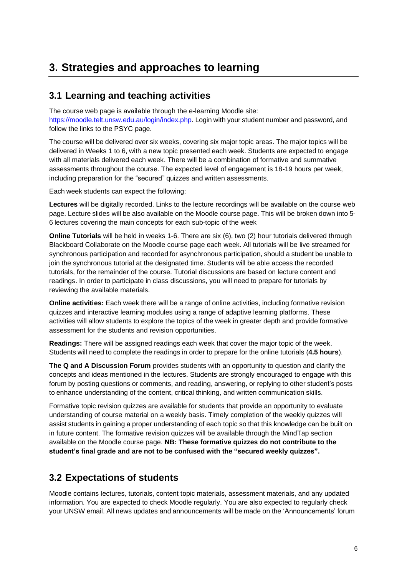## **3. Strategies and approaches to learning**

#### **3.1 Learning and teaching activities**

The course web page is available through the e-learning Moodle site: [https://moodle.telt.unsw.edu.au/login/index.php.](https://moodle.telt.unsw.edu.au/login/index.php) Login with your student number and password, and follow the links to the PSYC page.

The course will be delivered over six weeks, covering six major topic areas. The major topics will be delivered in Weeks 1 to 6, with a new topic presented each week. Students are expected to engage with all materials delivered each week. There will be a combination of formative and summative assessments throughout the course. The expected level of engagement is 18-19 hours per week, including preparation for the "secured" quizzes and written assessments.

Each week students can expect the following:

**Lectures** will be digitally recorded. Links to the lecture recordings will be available on the course web page. Lecture slides will be also available on the Moodle course page. This will be broken down into 5- 6 lectures covering the main concepts for each sub-topic of the week

**Online Tutorials** will be held in weeks 1-6. There are six (6), two (2) hour tutorials delivered through Blackboard Collaborate on the Moodle course page each week. All tutorials will be live streamed for synchronous participation and recorded for asynchronous participation, should a student be unable to join the synchronous tutorial at the designated time. Students will be able access the recorded tutorials, for the remainder of the course. Tutorial discussions are based on lecture content and readings. In order to participate in class discussions, you will need to prepare for tutorials by reviewing the available materials.

**Online activities:** Each week there will be a range of online activities, including formative revision quizzes and interactive learning modules using a range of adaptive learning platforms. These activities will allow students to explore the topics of the week in greater depth and provide formative assessment for the students and revision opportunities.

**Readings:** There will be assigned readings each week that cover the major topic of the week. Students will need to complete the readings in order to prepare for the online tutorials (**4.5 hours**).

**The Q and A Discussion Forum** provides students with an opportunity to question and clarify the concepts and ideas mentioned in the lectures. Students are strongly encouraged to engage with this forum by posting questions or comments, and reading, answering, or replying to other student's posts to enhance understanding of the content, critical thinking, and written communication skills.

Formative topic revision quizzes are available for students that provide an opportunity to evaluate understanding of course material on a weekly basis. Timely completion of the weekly quizzes will assist students in gaining a proper understanding of each topic so that this knowledge can be built on in future content. The formative revision quizzes will be available through the MindTap section available on the Moodle course page. **NB: These formative quizzes do not contribute to the student's final grade and are not to be confused with the "secured weekly quizzes".**

#### **3.2 Expectations of students**

Moodle contains lectures, tutorials, content topic materials, assessment materials, and any updated information. You are expected to check Moodle regularly. You are also expected to regularly check your UNSW email. All news updates and announcements will be made on the 'Announcements' forum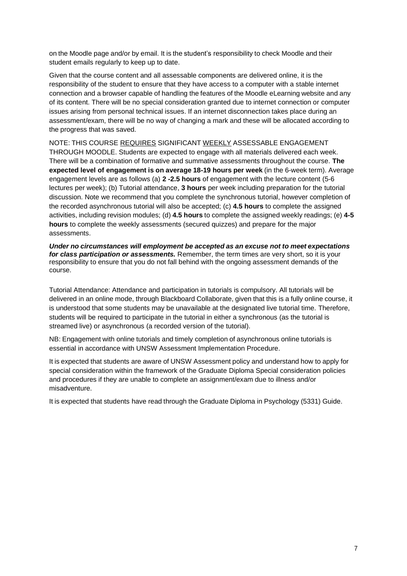on the Moodle page and/or by email. It is the student's responsibility to check Moodle and their student emails regularly to keep up to date.

Given that the course content and all assessable components are delivered online, it is the responsibility of the student to ensure that they have access to a computer with a stable internet connection and a browser capable of handling the features of the Moodle eLearning website and any of its content. There will be no special consideration granted due to internet connection or computer issues arising from personal technical issues. If an internet disconnection takes place during an assessment/exam, there will be no way of changing a mark and these will be allocated according to the progress that was saved.

NOTE: THIS COURSE REQUIRES SIGNIFICANT WEEKLY ASSESSABLE ENGAGEMENT THROUGH MOODLE. Students are expected to engage with all materials delivered each week. There will be a combination of formative and summative assessments throughout the course. **The expected level of engagement is on average 18-19 hours per week** (in the 6-week term). Average engagement levels are as follows (a) **2 -2.5 hours** of engagement with the lecture content (5-6 lectures per week); (b) Tutorial attendance, **3 hours** per week including preparation for the tutorial discussion. Note we recommend that you complete the synchronous tutorial, however completion of the recorded asynchronous tutorial will also be accepted; (c) **4.5 hours** to complete the assigned activities, including revision modules; (d) **4.5 hours** to complete the assigned weekly readings; (e) **4-5 hours** to complete the weekly assessments (secured quizzes) and prepare for the major assessments.

*Under no circumstances will employment be accepted as an excuse not to meet expectations for class participation or assessments.* Remember, the term times are very short, so it is your responsibility to ensure that you do not fall behind with the ongoing assessment demands of the course.

Tutorial Attendance: Attendance and participation in tutorials is compulsory. All tutorials will be delivered in an online mode, through Blackboard Collaborate, given that this is a fully online course, it is understood that some students may be unavailable at the designated live tutorial time. Therefore, students will be required to participate in the tutorial in either a synchronous (as the tutorial is streamed live) or asynchronous (a recorded version of the tutorial).

NB: Engagement with online tutorials and timely completion of asynchronous online tutorials is essential in accordance with UNSW Assessment Implementation Procedure.

It is expected that students are aware of UNSW Assessment policy and understand how to apply for special consideration within the framework of the Graduate Diploma Special consideration policies and procedures if they are unable to complete an assignment/exam due to illness and/or misadventure.

It is expected that students have read through the Graduate Diploma in Psychology (5331) Guide.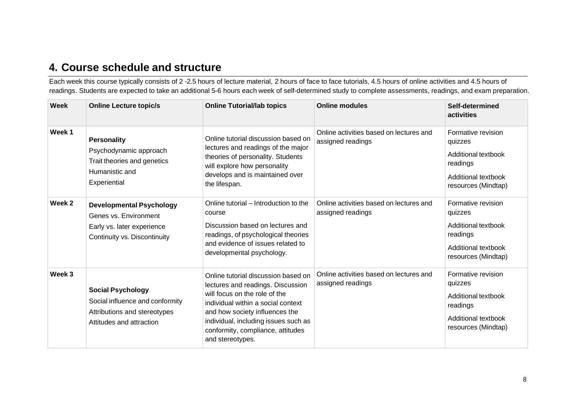## **4. Course schedule and structure**

Each week this course typically consists of 2 -2.5 hours of lecture material, 2 hours of face to face tutorials, 4.5 hours of online activities and 4.5 hours of readings. Students are expected to take an additional 5-6 hours each week of self-determined study to complete assessments, readings, and exam preparation.

| Week   | <b>Online Lecture topic/s</b>                                                                                           | <b>Online Tutorial/lab topics</b>                                                                                                                                                                                                                                                  | <b>Online modules</b>                                        | Self-determined<br>activities                                                                                  |
|--------|-------------------------------------------------------------------------------------------------------------------------|------------------------------------------------------------------------------------------------------------------------------------------------------------------------------------------------------------------------------------------------------------------------------------|--------------------------------------------------------------|----------------------------------------------------------------------------------------------------------------|
| Week 1 | <b>Personality</b><br>Psychodynamic approach<br>Trait theories and genetics<br>Humanistic and<br>Experiential           | Online tutorial discussion based on<br>lectures and readings of the major<br>theories of personality. Students<br>will explore how personality<br>develops and is maintained over<br>the lifespan.                                                                                 | Online activities based on lectures and<br>assigned readings | Formative revision<br>quizzes<br>Additional textbook<br>readings<br>Additional textbook<br>resources (Mindtap) |
| Week 2 | <b>Developmental Psychology</b><br>Genes vs. Environment<br>Early vs. later experience<br>Continuity vs. Discontinuity  | Online tutorial – Introduction to the<br>course<br>Discussion based on lectures and<br>readings, of psychological theories<br>and evidence of issues related to<br>developmental psychology.                                                                                       | Online activities based on lectures and<br>assigned readings | Formative revision<br>quizzes<br>Additional textbook<br>readings<br>Additional textbook<br>resources (Mindtap) |
| Week 3 | <b>Social Psychology</b><br>Social influence and conformity<br>Attributions and stereotypes<br>Attitudes and attraction | Online tutorial discussion based on<br>lectures and readings. Discussion<br>will focus on the role of the<br>individual within a social context<br>and how society influences the<br>individual, including issues such as<br>conformity, compliance, attitudes<br>and stereotypes. | Online activities based on lectures and<br>assigned readings | Formative revision<br>quizzes<br>Additional textbook<br>readings<br>Additional textbook<br>resources (Mindtap) |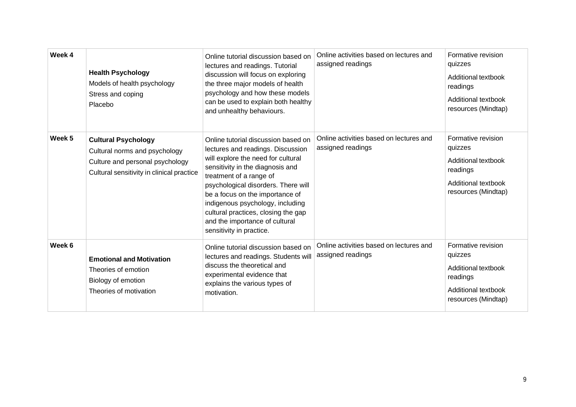| Week 4 | <b>Health Psychology</b><br>Models of health psychology<br>Stress and coping<br>Placebo                                                     | Online tutorial discussion based on<br>lectures and readings. Tutorial<br>discussion will focus on exploring<br>the three major models of health<br>psychology and how these models<br>can be used to explain both healthy<br>and unhealthy behaviours.                                                                                                                                          | Online activities based on lectures and<br>assigned readings | Formative revision<br>quizzes<br>Additional textbook<br>readings<br>Additional textbook<br>resources (Mindtap) |
|--------|---------------------------------------------------------------------------------------------------------------------------------------------|--------------------------------------------------------------------------------------------------------------------------------------------------------------------------------------------------------------------------------------------------------------------------------------------------------------------------------------------------------------------------------------------------|--------------------------------------------------------------|----------------------------------------------------------------------------------------------------------------|
| Week 5 | <b>Cultural Psychology</b><br>Cultural norms and psychology<br>Culture and personal psychology<br>Cultural sensitivity in clinical practice | Online tutorial discussion based on<br>lectures and readings. Discussion<br>will explore the need for cultural<br>sensitivity in the diagnosis and<br>treatment of a range of<br>psychological disorders. There will<br>be a focus on the importance of<br>indigenous psychology, including<br>cultural practices, closing the gap<br>and the importance of cultural<br>sensitivity in practice. | Online activities based on lectures and<br>assigned readings | Formative revision<br>quizzes<br>Additional textbook<br>readings<br>Additional textbook<br>resources (Mindtap) |
| Week 6 | <b>Emotional and Motivation</b><br>Theories of emotion<br>Biology of emotion<br>Theories of motivation                                      | Online tutorial discussion based on<br>lectures and readings. Students will<br>discuss the theoretical and<br>experimental evidence that<br>explains the various types of<br>motivation.                                                                                                                                                                                                         | Online activities based on lectures and<br>assigned readings | Formative revision<br>quizzes<br>Additional textbook<br>readings<br>Additional textbook<br>resources (Mindtap) |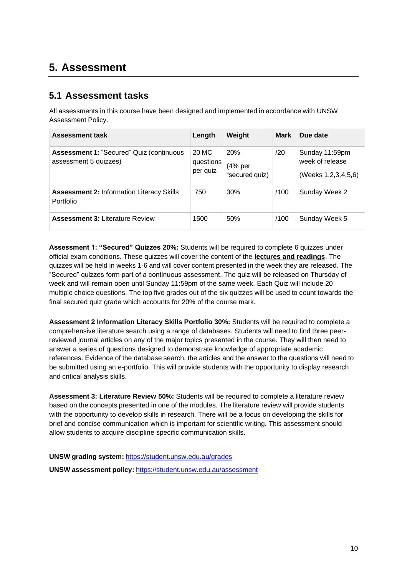## **5. Assessment**

#### **5.1 Assessment tasks**

All assessments in this course have been designed and implemented in accordance with UNSW Assessment Policy.

| <b>Assessment task</b>                                                   | Length                         | Weight                                    | <b>Mark</b> | Due date                                                 |
|--------------------------------------------------------------------------|--------------------------------|-------------------------------------------|-------------|----------------------------------------------------------|
| <b>Assessment 1: "Secured" Quiz (continuous</b><br>assessment 5 quizzes) | 20 MC<br>questions<br>per quiz | <b>20%</b><br>$(4%$ per<br>"secured quiz) | /20         | Sunday 11:59pm<br>week of release<br>(Weeks 1,2,3,4,5,6) |
| <b>Assessment 2: Information Literacy Skills</b><br>Portfolio            | 750                            | 30%                                       | /100        | Sunday Week 2                                            |
| <b>Assessment 3: Literature Review</b>                                   | 1500                           | 50%                                       | /100        | Sunday Week 5                                            |

**Assessment 1: "Secured" Quizzes 20%:** Students will be required to complete 6 quizzes under official exam conditions. These quizzes will cover the content of the **lectures and readings**. The quizzes will be held in weeks 1-6 and will cover content presented in the week they are released. The "Secured" quizzes form part of a continuous assessment. The quiz will be released on Thursday of week and will remain open until Sunday 11:59pm of the same week. Each Quiz will include 20 multiple choice questions. The top five grades out of the six quizzes will be used to count towards the final secured quiz grade which accounts for 20% of the course mark.

**Assessment 2 Information Literacy Skills Portfolio 30%:** Students will be required to complete a comprehensive literature search using a range of databases. Students will need to find three peerreviewed journal articles on any of the major topics presented in the course. They will then need to answer a series of questions designed to demonstrate knowledge of appropriate academic references. Evidence of the database search, the articles and the answer to the questions will need to be submitted using an e-portfolio. This will provide students with the opportunity to display research and critical analysis skills.

**Assessment 3: Literature Review 50%:** Students will be required to complete a literature review based on the concepts presented in one of the modules. The literature review will provide students with the opportunity to develop skills in research. There will be a focus on developing the skills for brief and concise communication which is important for scientific writing. This assessment should allow students to acquire discipline specific communication skills.

**UNSW grading system:** <https://student.unsw.edu.au/grades> **UNSW assessment policy:** <https://student.unsw.edu.au/assessment>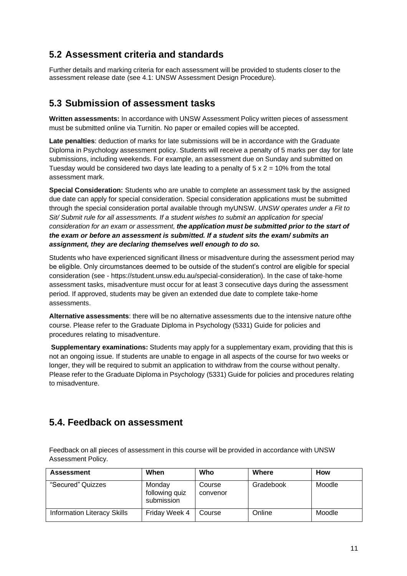#### **5.2 Assessment criteria and standards**

Further details and marking criteria for each assessment will be provided to students closer to the assessment release date (see 4.1: UNSW Assessment Design Procedure).

#### **5.3 Submission of assessment tasks**

**Written assessments:** In accordance with UNSW Assessment Policy written pieces of assessment must be submitted online via Turnitin. No paper or emailed copies will be accepted.

**Late penalties**: deduction of marks for late submissions will be in accordance with the Graduate Diploma in Psychology assessment policy. Students will receive a penalty of 5 marks per day for late submissions, including weekends. For example, an assessment due on Sunday and submitted on Tuesday would be considered two days late leading to a penalty of  $5 \times 2 = 10\%$  from the total assessment mark.

**Special Consideration:** Students who are unable to complete an assessment task by the assigned due date can apply for special consideration. Special consideration applications must be submitted through the special consideration portal available through myUNSW. *UNSW operates under a Fit to Sit/ Submit rule for all assessments. If a student wishes to submit an application for special consideration for an exam or assessment, the application must be submitted prior to the start of the exam or before an assessment is submitted. If a student sits the exam/ submits an assignment, they are declaring themselves well enough to do so.*

Students who have experienced significant illness or misadventure during the assessment period may be eligible. Only circumstances deemed to be outside of the student's control are eligible for special consideration (see - https://student.unsw.edu.au/special-consideration). In the case of take-home assessment tasks, misadventure must occur for at least 3 consecutive days during the assessment period. If approved, students may be given an extended due date to complete take-home assessments.

**Alternative assessments**: there will be no alternative assessments due to the intensive nature ofthe course. Please refer to the Graduate Diploma in Psychology (5331) Guide for policies and procedures relating to misadventure.

**Supplementary examinations:** Students may apply for a supplementary exam, providing that this is not an ongoing issue. If students are unable to engage in all aspects of the course for two weeks or longer, they will be required to submit an application to withdraw from the course without penalty. Please refer to the Graduate Diploma in Psychology (5331) Guide for policies and procedures relating to misadventure.

#### **5.4. Feedback on assessment**

Feedback on all pieces of assessment in this course will be provided in accordance with UNSW Assessment Policy.

| <b>Assessment</b>                  | When                                   | Who                | Where     | <b>How</b> |
|------------------------------------|----------------------------------------|--------------------|-----------|------------|
| "Secured" Quizzes                  | Monday<br>following quiz<br>submission | Course<br>convenor | Gradebook | Moodle     |
| <b>Information Literacy Skills</b> | Friday Week 4                          | Course             | Online    | Moodle     |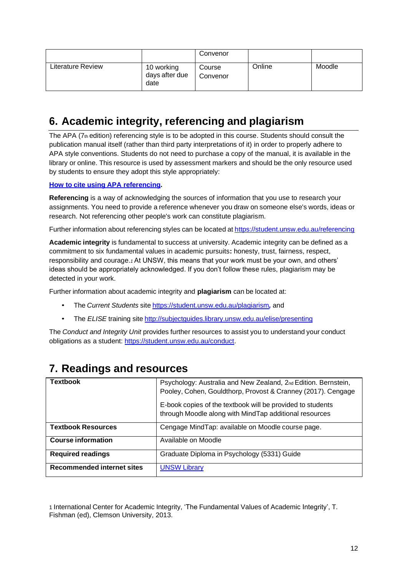|                          |                                      | Convenor           |        |        |
|--------------------------|--------------------------------------|--------------------|--------|--------|
| <b>Literature Review</b> | 10 working<br>days after due<br>date | Course<br>Convenor | Online | Moodle |

## **6. Academic integrity, referencing and plagiarism**

The APA (7th edition) referencing style is to be adopted in this course. Students should consult the publication manual itself (rather than third party interpretations of it) in order to properly adhere to APA style conventions. Students do not need to purchase a copy of the manual, it is available in the library or online. This resource is used by assessment markers and should be the only resource used by students to ensure they adopt this style appropriately:

#### **How to cite [using](http://www.apastyle.org/manual/index.aspx) APA referencing.**

**Referencing** is a way of acknowledging the sources of information that you use to research your assignments. You need to provide a reference whenever you draw on someone else's words, ideas or research. Not referencing other people's work can constitute plagiarism.

Further information about referencing styles can be located at <https://student.unsw.edu.au/referencing>

**Academic integrity** is fundamental to success at university. Academic integrity can be defined as a commitment to six fundamental values in academic pursuits**:** honesty, trust, fairness, respect, responsibility and courage.*1* At UNSW, this means that your work must be your own, and others' ideas should be appropriately acknowledged. If you don't follow these rules, plagiarism may be detected in your work.

Further information about academic integrity and **plagiarism** can be located at:

- The *Current Students* site <https://student.unsw.edu.au/plagiarism>*,* and
- The *ELISE* training site <http://subjectguides.library.unsw.edu.au/elise/presenting>

The *Conduct and Integrity Unit* provides further resources to assist you to understand your conduct obligations as a student: [https://student.unsw.edu.au/conduct.](https://student.unsw.edu.au/conduct)

| <b>Textbook</b>                   | Psychology: Australia and New Zealand, 2nd Edition. Bernstein,<br>Pooley, Cohen, Gouldthorp, Provost & Cranney (2017). Cengage |
|-----------------------------------|--------------------------------------------------------------------------------------------------------------------------------|
|                                   | E-book copies of the textbook will be provided to students<br>through Moodle along with MindTap additional resources           |
| <b>Textbook Resources</b>         | Cengage MindTap: available on Moodle course page.                                                                              |
| <b>Course information</b>         | Available on Moodle                                                                                                            |
| <b>Required readings</b>          | Graduate Diploma in Psychology (5331) Guide                                                                                    |
| <b>Recommended internet sites</b> | <b>UNSW Library</b>                                                                                                            |

## **7. Readings and resources**

1 International Center for Academic Integrity, 'The Fundamental Values of Academic Integrity', T. Fishman (ed), Clemson University, 2013.